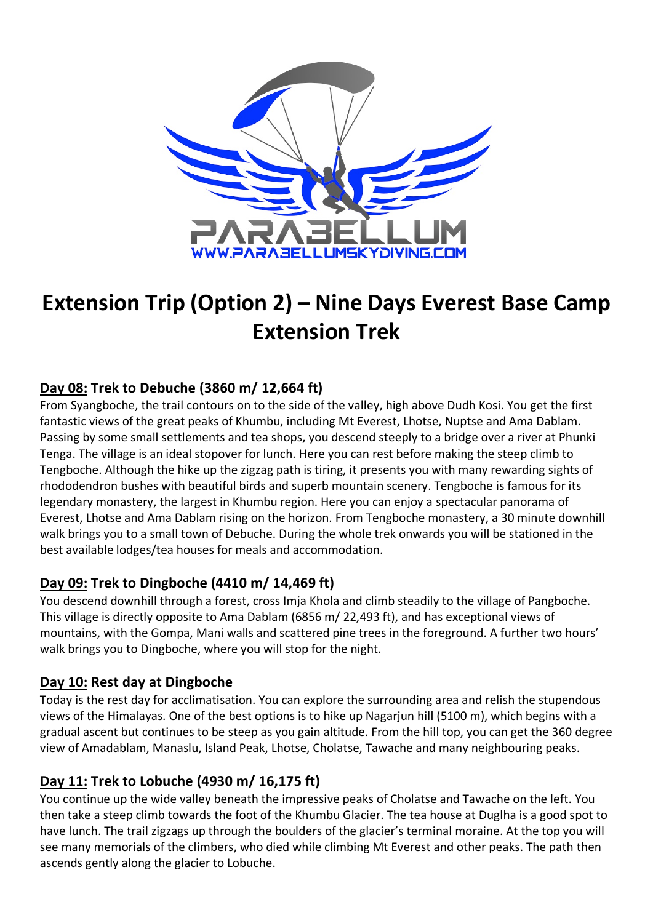

# **Extension Trip (Option 2) – Nine Days Everest Base Camp Extension Trek**

## **Day 08: Trek to Debuche (3860 m/ 12,664 ft)**

From Syangboche, the trail contours on to the side of the valley, high above Dudh Kosi. You get the first fantastic views of the great peaks of Khumbu, including Mt Everest, Lhotse, Nuptse and Ama Dablam. Passing by some small settlements and tea shops, you descend steeply to a bridge over a river at Phunki Tenga. The village is an ideal stopover for lunch. Here you can rest before making the steep climb to Tengboche. Although the hike up the zigzag path is tiring, it presents you with many rewarding sights of rhododendron bushes with beautiful birds and superb mountain scenery. Tengboche is famous for its legendary monastery, the largest in Khumbu region. Here you can enjoy a spectacular panorama of Everest, Lhotse and Ama Dablam rising on the horizon. From Tengboche monastery, a 30 minute downhill walk brings you to a small town of Debuche. During the whole trek onwards you will be stationed in the best available lodges/tea houses for meals and accommodation.

#### **Day 09: Trek to Dingboche (4410 m/ 14,469 ft)**

You descend downhill through a forest, cross Imja Khola and climb steadily to the village of Pangboche. This village is directly opposite to Ama Dablam (6856 m/ 22,493 ft), and has exceptional views of mountains, with the Gompa, Mani walls and scattered pine trees in the foreground. A further two hours' walk brings you to Dingboche, where you will stop for the night.

#### **Day 10: Rest day at Dingboche**

Today is the rest day for acclimatisation. You can explore the surrounding area and relish the stupendous views of the Himalayas. One of the best options is to hike up Nagarjun hill (5100 m), which begins with a gradual ascent but continues to be steep as you gain altitude. From the hill top, you can get the 360 degree view of Amadablam, Manaslu, Island Peak, Lhotse, Cholatse, Tawache and many neighbouring peaks.

#### **Day 11: Trek to Lobuche (4930 m/ 16,175 ft)**

You continue up the wide valley beneath the impressive peaks of Cholatse and Tawache on the left. You then take a steep climb towards the foot of the Khumbu Glacier. The tea house at Duglha is a good spot to have lunch. The trail zigzags up through the boulders of the glacier's terminal moraine. At the top you will see many memorials of the climbers, who died while climbing Mt Everest and other peaks. The path then ascends gently along the glacier to Lobuche.